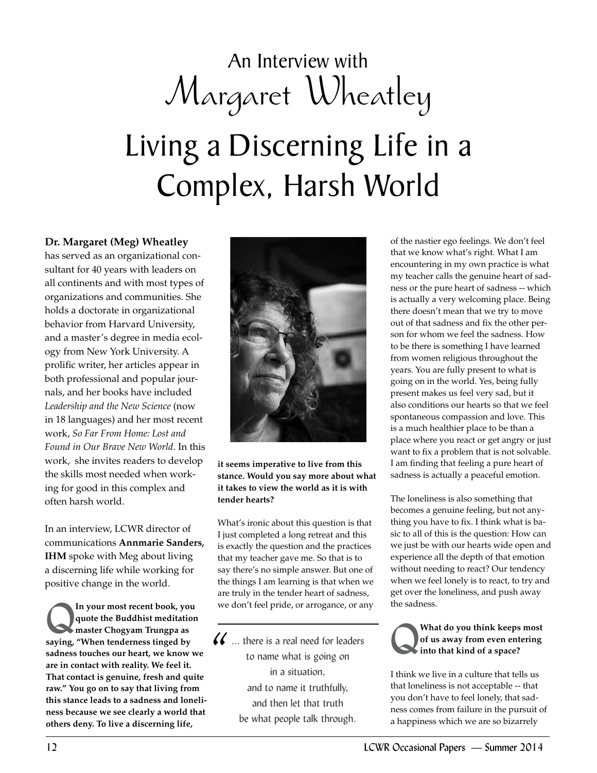## An Interview with Margaret Wheatley

# Living a Discerning Life in a Complex, Harsh World

#### **Dr. Margaret (Meg) Wheatley**

has served as an organizational consultant for 40 years with leaders on all continents and with most types of organizations and communities. She holds a doctorate in organizational behavior from Harvard University, and a master's degree in media ecology from New York University. A prolific writer, her articles appear in both professional and popular journals, and her books have included *Leadership and the New Science* (now in 18 languages) and her most recent work, *So Far From Home: Lost and Found in Our Brave New World*. In this work, she invites readers to develop the skills most needed when working for good in this complex and often harsh world.

In an interview, LCWR director of communications **Annmarie Sanders, IHM** spoke with Meg about living a discerning life while working for positive change in the world.

In your most recent book, you<br>
quote the Buddhist meditation<br>
master Chogyam Trungpa as<br>
saying "When tondowness tinged by **quote the Buddhist meditation saying, "When tenderness tinged by sadness touches our heart, we know we are in contact with reality. We feel it. That contact is genuine, fresh and quite raw." You go on to say that living from this stance leads to a sadness and loneliness because we see clearly a world that others deny. To live a discerning life,** 



**it seems imperative to live from this stance. Would you say more about what it takes to view the world as it is with tender hearts?**

What's ironic about this question is that I just completed a long retreat and this is exactly the question and the practices that my teacher gave me. So that is to say there's no simple answer. But one of the things I am learning is that when we are truly in the tender heart of sadness, we don't feel pride, or arrogance, or any

... there is a real need for leaders to name what is going on in a situation, and to name it truthfully, and then let that truth be what people talk through.  $\frac{1}{2}$ 

of the nastier ego feelings. We don't feel that we know what's right. What I am encountering in my own practice is what my teacher calls the genuine heart of sadness or the pure heart of sadness -- which is actually a very welcoming place. Being there doesn't mean that we try to move out of that sadness and fix the other person for whom we feel the sadness. How to be there is something I have learned from women religious throughout the years. You are fully present to what is going on in the world. Yes, being fully present makes us feel very sad, but it also conditions our hearts so that we feel spontaneous compassion and love. This is a much healthier place to be than a place where you react or get angry or just want to fix a problem that is not solvable. I am finding that feeling a pure heart of sadness is actually a peaceful emotion.

The loneliness is also something that becomes a genuine feeling, but not anything you have to fix. I think what is basic to all of this is the question: How can we just be with our hearts wide open and experience all the depth of that emotion without needing to react? Our tendency when we feel lonely is to react, to try and get over the loneliness, and push away the sadness.

#### Q**What do you think keeps most of us away from even entering into that kind of a space?**

I think we live in a culture that tells us that loneliness is not acceptable -- that you don't have to feel lonely, that sadness comes from failure in the pursuit of a happiness which we are so bizarrely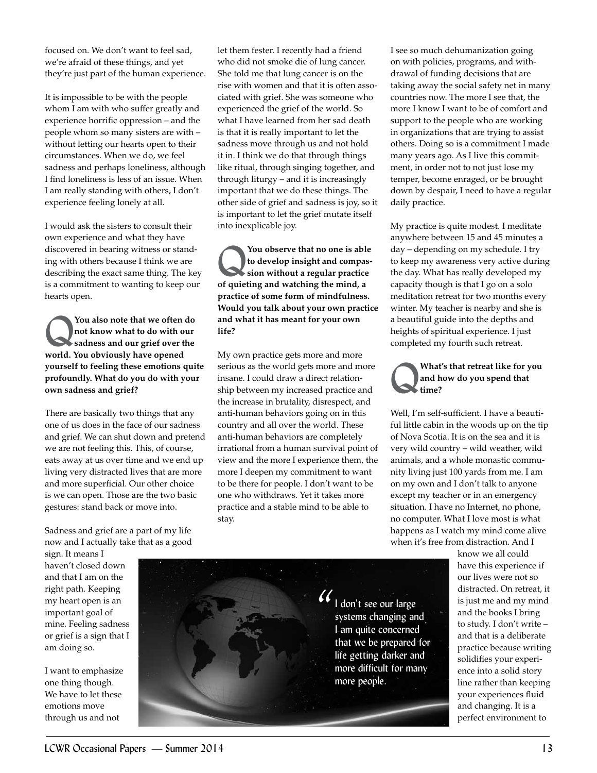focused on. We don't want to feel sad, we're afraid of these things, and yet they're just part of the human experience.

It is impossible to be with the people whom I am with who suffer greatly and experience horrific oppression – and the people whom so many sisters are with – without letting our hearts open to their circumstances. When we do, we feel sadness and perhaps loneliness, although I find loneliness is less of an issue. When I am really standing with others, I don't experience feeling lonely at all.

I would ask the sisters to consult their own experience and what they have discovered in bearing witness or standing with others because I think we are describing the exact same thing. The key is a commitment to wanting to keep our hearts open.

You also note that we often do<br>
not know what to do with our<br>
sadness and our grief over the<br>
world You shripped have appeal **not know what to do with our world. You obviously have opened yourself to feeling these emotions quite profoundly. What do you do with your own sadness and grief?**

There are basically two things that any one of us does in the face of our sadness and grief. We can shut down and pretend we are not feeling this. This, of course, eats away at us over time and we end up living very distracted lives that are more and more superficial. Our other choice is we can open. Those are the two basic gestures: stand back or move into.

Sadness and grief are a part of my life now and I actually take that as a good let them fester. I recently had a friend who did not smoke die of lung cancer. She told me that lung cancer is on the rise with women and that it is often associated with grief. She was someone who experienced the grief of the world. So what I have learned from her sad death is that it is really important to let the sadness move through us and not hold it in. I think we do that through things like ritual, through singing together, and through liturgy – and it is increasingly important that we do these things. The other side of grief and sadness is joy, so it is important to let the grief mutate itself into inexplicable joy.

You observe that no one is able<br>to develop insight and compas-<br>sion without a regular practice **to develop insight and compassion without a regular practice of quieting and watching the mind, a practice of some form of mindfulness. Would you talk about your own practice and what it has meant for your own life?**

My own practice gets more and more serious as the world gets more and more insane. I could draw a direct relationship between my increased practice and the increase in brutality, disrespect, and anti-human behaviors going on in this country and all over the world. These anti-human behaviors are completely irrational from a human survival point of view and the more I experience them, the more I deepen my commitment to want to be there for people. I don't want to be one who withdraws. Yet it takes more practice and a stable mind to be able to stay.

I see so much dehumanization going on with policies, programs, and withdrawal of funding decisions that are taking away the social safety net in many countries now. The more I see that, the more I know I want to be of comfort and support to the people who are working in organizations that are trying to assist others. Doing so is a commitment I made many years ago. As I live this commitment, in order not to not just lose my temper, become enraged, or be brought down by despair, I need to have a regular daily practice.

My practice is quite modest. I meditate anywhere between 15 and 45 minutes a day – depending on my schedule. I try to keep my awareness very active during the day. What has really developed my capacity though is that I go on a solo meditation retreat for two months every winter. My teacher is nearby and she is a beautiful guide into the depths and heights of spiritual experience. I just completed my fourth such retreat.

#### Q**What's that retreat like for you and how do you spend that time?**

Well, I'm self-sufficient. I have a beautiful little cabin in the woods up on the tip of Nova Scotia. It is on the sea and it is very wild country – wild weather, wild animals, and a whole monastic community living just 100 yards from me. I am on my own and I don't talk to anyone except my teacher or in an emergency situation. I have no Internet, no phone, no computer. What I love most is what happens as I watch my mind come alive when it's free from distraction. And I

sign. It means I haven't closed down and that I am on the right path. Keeping my heart open is an important goal of mine. Feeling sadness or grief is a sign that I am doing so.

I want to emphasize one thing though. We have to let these emotions move through us and not



know we all could have this experience if our lives were not so distracted. On retreat, it is just me and my mind and the books I bring to study. I don't write – and that is a deliberate practice because writing solidifies your experience into a solid story line rather than keeping your experiences fluid and changing. It is a perfect environment to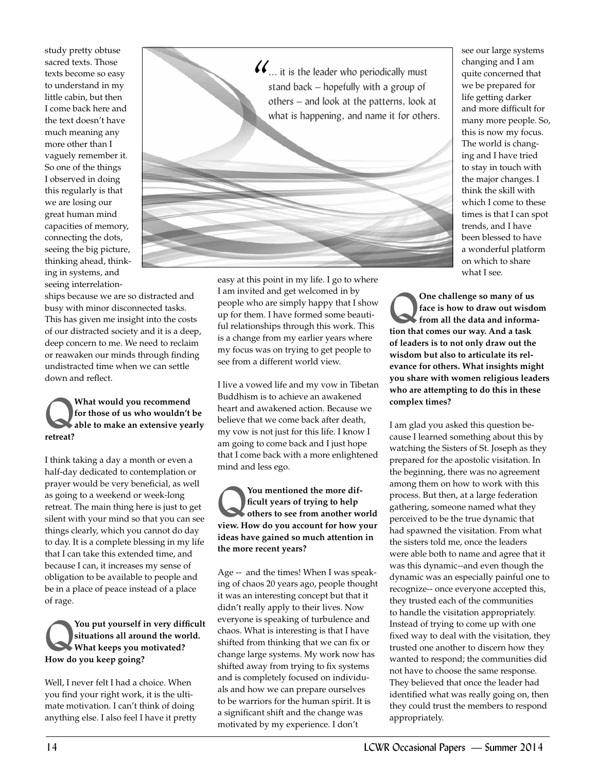study pretty obtuse sacred texts. Those texts become so easy to understand in my little cabin, but then I come back here and the text doesn't have much meaning any more other than I vaguely remember it. So one of the things I observed in doing this regularly is that we are losing our great human mind capacities of memory, connecting the dots, seeing the big picture, thinking ahead, thinking in systems, and seeing interrelation-

ships because we are so distracted and busy with minor disconnected tasks. This has given me insight into the costs of our distracted society and it is a deep, deep concern to me. We need to reclaim or reawaken our minds through finding undistracted time when we can settle down and reflect.

#### What would you recommend<br>for those of us who wouldn't<br>able to make an extensive yea **for those of us who wouldn't be able to make an extensive yearly retreat?**

I think taking a day a month or even a half-day dedicated to contemplation or prayer would be very beneficial, as well as going to a weekend or week-long retreat. The main thing here is just to get silent with your mind so that you can see things clearly, which you cannot do day to day. It is a complete blessing in my life that I can take this extended time, and because I can, it increases my sense of obligation to be available to people and be in a place of peace instead of a place of rage.

You put yourself in very difficult **situations all around the world. What keeps you motivated? How do you keep going?** 

Well, I never felt I had a choice. When you find your right work, it is the ultimate motivation. I can't think of doing anything else. I also feel I have it pretty



easy at this point in my life. I go to where I am invited and get welcomed in by people who are simply happy that I show up for them. I have formed some beautiful relationships through this work. This is a change from my earlier years where my focus was on trying to get people to see from a different world view.

I live a vowed life and my vow in Tibetan Buddhism is to achieve an awakened heart and awakened action. Because we believe that we come back after death, my vow is not just for this life. I know I am going to come back and I just hope that I come back with a more enlightened mind and less ego.

#### You mentioned the more dif-<br> **Example 1999**<br>
others to see from another we<br>
view How do you account for boys **ficult years of trying to help others to see from another world view. How do you account for how your ideas have gained so much attention in the more recent years?**

Age -- and the times! When I was speaking of chaos 20 years ago, people thought it was an interesting concept but that it didn't really apply to their lives. Now everyone is speaking of turbulence and chaos. What is interesting is that I have shifted from thinking that we can fix or change large systems. My work now has shifted away from trying to fix systems and is completely focused on individuals and how we can prepare ourselves to be warriors for the human spirit. It is a significant shift and the change was motivated by my experience. I don't

see our large systems changing and I am quite concerned that we be prepared for life getting darker and more difficult for many more people. So, this is now my focus. The world is changing and I have tried to stay in touch with the major changes. I think the skill with which I come to these times is that I can spot trends, and I have been blessed to have a wonderful platform on which to share what I see.

Q**One challenge so many of us face is how to draw out wisdom from all the data and information that comes our way. And a task of leaders is to not only draw out the wisdom but also to articulate its relevance for others. What insights might you share with women religious leaders who are attempting to do this in these complex times?**

I am glad you asked this question because I learned something about this by watching the Sisters of St. Joseph as they prepared for the apostolic visitation. In the beginning, there was no agreement among them on how to work with this process. But then, at a large federation gathering, someone named what they perceived to be the true dynamic that had spawned the visitation. From what the sisters told me, once the leaders were able both to name and agree that it was this dynamic--and even though the dynamic was an especially painful one to recognize-- once everyone accepted this, they trusted each of the communities to handle the visitation appropriately. Instead of trying to come up with one fixed way to deal with the visitation, they trusted one another to discern how they wanted to respond; the communities did not have to choose the same response. They believed that once the leader had identified what was really going on, then they could trust the members to respond appropriately.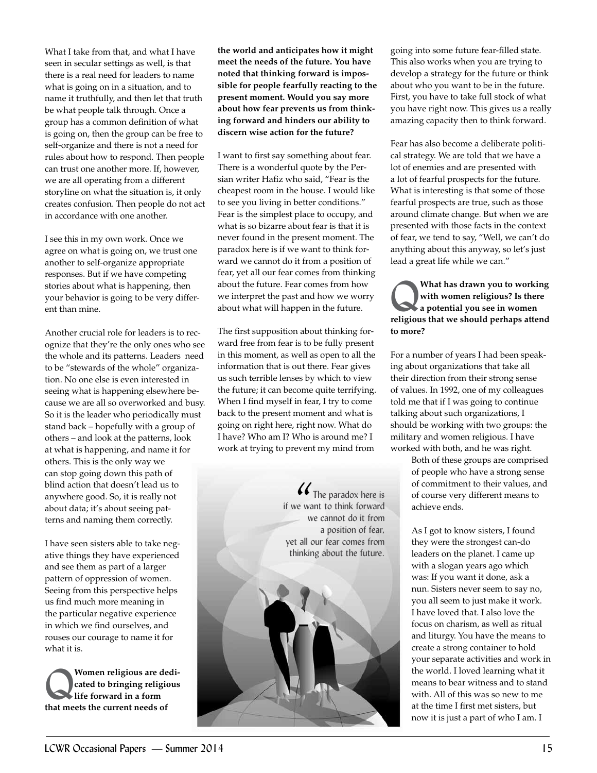What I take from that, and what I have seen in secular settings as well, is that there is a real need for leaders to name what is going on in a situation, and to name it truthfully, and then let that truth be what people talk through. Once a group has a common definition of what is going on, then the group can be free to self-organize and there is not a need for rules about how to respond. Then people can trust one another more. If, however, we are all operating from a different storyline on what the situation is, it only creates confusion. Then people do not act in accordance with one another.

I see this in my own work. Once we agree on what is going on, we trust one another to self-organize appropriate responses. But if we have competing stories about what is happening, then your behavior is going to be very different than mine.

Another crucial role for leaders is to recognize that they're the only ones who see the whole and its patterns. Leaders need to be "stewards of the whole" organization. No one else is even interested in seeing what is happening elsewhere because we are all so overworked and busy. So it is the leader who periodically must stand back – hopefully with a group of others – and look at the patterns, look at what is happening, and name it for others. This is the only way we can stop going down this path of blind action that doesn't lead us to anywhere good. So, it is really not about data; it's about seeing patterns and naming them correctly.

I have seen sisters able to take negative things they have experienced and see them as part of a larger pattern of oppression of women. Seeing from this perspective helps us find much more meaning in the particular negative experience in which we find ourselves, and rouses our courage to name it for what it is.

Women religious are dedicated to bringing religious<br>life forward in a form<br>that meats the summat needs of **cated to bringing religious life forward in a form that meets the current needs of** 

**the world and anticipates how it might meet the needs of the future. You have noted that thinking forward is impossible for people fearfully reacting to the present moment. Would you say more about how fear prevents us from thinking forward and hinders our ability to discern wise action for the future?**

I want to first say something about fear. There is a wonderful quote by the Persian writer Hafiz who said, "Fear is the cheapest room in the house. I would like to see you living in better conditions." Fear is the simplest place to occupy, and what is so bizarre about fear is that it is never found in the present moment. The paradox here is if we want to think forward we cannot do it from a position of fear, yet all our fear comes from thinking about the future. Fear comes from how we interpret the past and how we worry about what will happen in the future.

The first supposition about thinking forward free from fear is to be fully present in this moment, as well as open to all the information that is out there. Fear gives us such terrible lenses by which to view the future; it can become quite terrifying. When I find myself in fear, I try to come back to the present moment and what is going on right here, right now. What do I have? Who am I? Who is around me? I work at trying to prevent my mind from

> The paradox here is if we want to think forward we cannot do it from a position of fear, yet all our fear comes from thinking about the future.  $\frac{1}{\frac{1}{x}}$  we way

going into some future fear-filled state. This also works when you are trying to develop a strategy for the future or think about who you want to be in the future. First, you have to take full stock of what you have right now. This gives us a really amazing capacity then to think forward.

Fear has also become a deliberate political strategy. We are told that we have a lot of enemies and are presented with a lot of fearful prospects for the future. What is interesting is that some of those fearful prospects are true, such as those around climate change. But when we are presented with those facts in the context of fear, we tend to say, "Well, we can't do anything about this anyway, so let's just lead a great life while we can."

Q**What has drawn you to working with women religious? Is there a potential you see in women religious that we should perhaps attend to more?**

For a number of years I had been speaking about organizations that take all their direction from their strong sense of values. In 1992, one of my colleagues told me that if I was going to continue talking about such organizations, I should be working with two groups: the military and women religious. I have worked with both, and he was right.

> Both of these groups are comprised of people who have a strong sense of commitment to their values, and of course very different means to achieve ends.

As I got to know sisters, I found they were the strongest can-do leaders on the planet. I came up with a slogan years ago which was: If you want it done, ask a nun. Sisters never seem to say no, you all seem to just make it work. I have loved that. I also love the focus on charism, as well as ritual and liturgy. You have the means to create a strong container to hold your separate activities and work in the world. I loved learning what it means to bear witness and to stand with. All of this was so new to me at the time I first met sisters, but now it is just a part of who I am. I